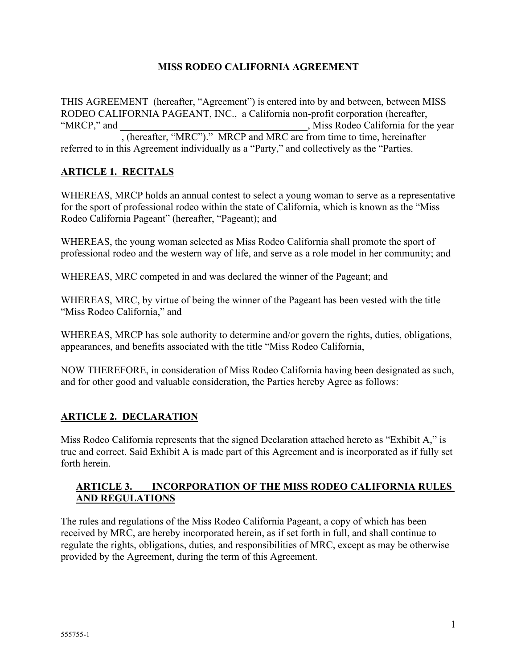### **MISS RODEO CALIFORNIA AGREEMENT**

THIS AGREEMENT (hereafter, "Agreement") is entered into by and between, between MISS RODEO CALIFORNIA PAGEANT, INC., a California non-profit corporation (hereafter, "MRCP," and \_\_\_\_\_\_\_\_\_\_\_\_\_\_\_\_\_\_\_\_\_\_\_\_\_\_\_\_\_\_\_\_\_\_\_\_\_, Miss Rodeo California for the year \_\_\_\_\_\_\_\_\_\_\_\_, (hereafter, "MRC")." MRCP and MRC are from time to time, hereinafter referred to in this Agreement individually as a "Party," and collectively as the "Parties.

# **ARTICLE 1. RECITALS**

WHEREAS, MRCP holds an annual contest to select a young woman to serve as a representative for the sport of professional rodeo within the state of California, which is known as the "Miss Rodeo California Pageant" (hereafter, "Pageant); and

WHEREAS, the young woman selected as Miss Rodeo California shall promote the sport of professional rodeo and the western way of life, and serve as a role model in her community; and

WHEREAS, MRC competed in and was declared the winner of the Pageant; and

WHEREAS, MRC, by virtue of being the winner of the Pageant has been vested with the title "Miss Rodeo California," and

WHEREAS, MRCP has sole authority to determine and/or govern the rights, duties, obligations, appearances, and benefits associated with the title "Miss Rodeo California,

NOW THEREFORE, in consideration of Miss Rodeo California having been designated as such, and for other good and valuable consideration, the Parties hereby Agree as follows:

# **ARTICLE 2. DECLARATION**

Miss Rodeo California represents that the signed Declaration attached hereto as "Exhibit A," is true and correct. Said Exhibit A is made part of this Agreement and is incorporated as if fully set forth herein.

### **ARTICLE 3. INCORPORATION OF THE MISS RODEO CALIFORNIA RULES AND REGULATIONS**

The rules and regulations of the Miss Rodeo California Pageant, a copy of which has been received by MRC, are hereby incorporated herein, as if set forth in full, and shall continue to regulate the rights, obligations, duties, and responsibilities of MRC, except as may be otherwise provided by the Agreement, during the term of this Agreement.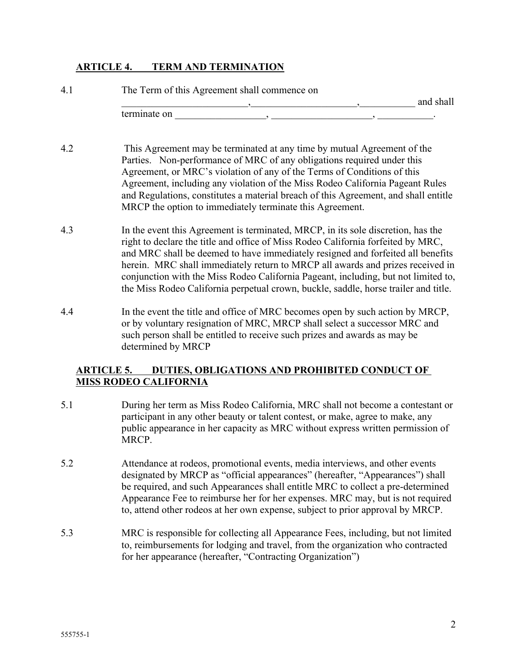#### **ARTICLE 4. TERM AND TERMINATION**

| 4.1 | The Term of this Agreement shall commence on |           |
|-----|----------------------------------------------|-----------|
|     |                                              | and shall |
|     | terminate on                                 |           |

- 4.2 This Agreement may be terminated at any time by mutual Agreement of the Parties. Non-performance of MRC of any obligations required under this Agreement, or MRC's violation of any of the Terms of Conditions of this Agreement, including any violation of the Miss Rodeo California Pageant Rules and Regulations, constitutes a material breach of this Agreement, and shall entitle MRCP the option to immediately terminate this Agreement.
- 4.3 In the event this Agreement is terminated, MRCP, in its sole discretion, has the right to declare the title and office of Miss Rodeo California forfeited by MRC, and MRC shall be deemed to have immediately resigned and forfeited all benefits herein. MRC shall immediately return to MRCP all awards and prizes received in conjunction with the Miss Rodeo California Pageant, including, but not limited to, the Miss Rodeo California perpetual crown, buckle, saddle, horse trailer and title.
- 4.4 In the event the title and office of MRC becomes open by such action by MRCP, or by voluntary resignation of MRC, MRCP shall select a successor MRC and such person shall be entitled to receive such prizes and awards as may be determined by MRCP

### **ARTICLE 5. DUTIES, OBLIGATIONS AND PROHIBITED CONDUCT OF MISS RODEO CALIFORNIA**

- 5.1 During her term as Miss Rodeo California, MRC shall not become a contestant or participant in any other beauty or talent contest, or make, agree to make, any public appearance in her capacity as MRC without express written permission of MRCP.
- 5.2 Attendance at rodeos, promotional events, media interviews, and other events designated by MRCP as "official appearances" (hereafter, "Appearances") shall be required, and such Appearances shall entitle MRC to collect a pre-determined Appearance Fee to reimburse her for her expenses. MRC may, but is not required to, attend other rodeos at her own expense, subject to prior approval by MRCP.
- 5.3 MRC is responsible for collecting all Appearance Fees, including, but not limited to, reimbursements for lodging and travel, from the organization who contracted for her appearance (hereafter, "Contracting Organization")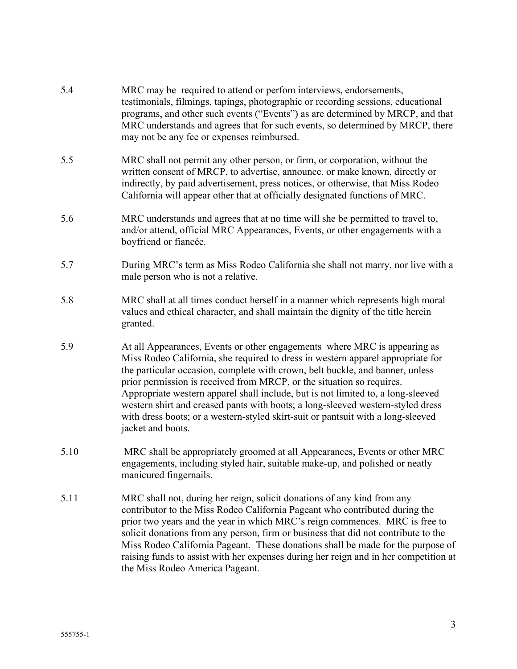- 5.4 MRC may be required to attend or perfom interviews, endorsements, testimonials, filmings, tapings, photographic or recording sessions, educational programs, and other such events ("Events") as are determined by MRCP, and that MRC understands and agrees that for such events, so determined by MRCP, there may not be any fee or expenses reimbursed. 5.5 MRC shall not permit any other person, or firm, or corporation, without the written consent of MRCP, to advertise, announce, or make known, directly or indirectly, by paid advertisement, press notices, or otherwise, that Miss Rodeo California will appear other that at officially designated functions of MRC. 5.6 MRC understands and agrees that at no time will she be permitted to travel to, and/or attend, official MRC Appearances, Events, or other engagements with a boyfriend or fiancée. 5.7 During MRC's term as Miss Rodeo California she shall not marry, nor live with a male person who is not a relative. 5.8 MRC shall at all times conduct herself in a manner which represents high moral values and ethical character, and shall maintain the dignity of the title herein granted. 5.9 At all Appearances, Events or other engagements where MRC is appearing as Miss Rodeo California, she required to dress in western apparel appropriate for the particular occasion, complete with crown, belt buckle, and banner, unless prior permission is received from MRCP, or the situation so requires. Appropriate western apparel shall include, but is not limited to, a long-sleeved western shirt and creased pants with boots; a long-sleeved western-styled dress with dress boots; or a western-styled skirt-suit or pantsuit with a long-sleeved jacket and boots. 5.10 MRC shall be appropriately groomed at all Appearances, Events or other MRC engagements, including styled hair, suitable make-up, and polished or neatly manicured fingernails.
- 5.11 MRC shall not, during her reign, solicit donations of any kind from any contributor to the Miss Rodeo California Pageant who contributed during the prior two years and the year in which MRC's reign commences. MRC is free to solicit donations from any person, firm or business that did not contribute to the Miss Rodeo California Pageant. These donations shall be made for the purpose of raising funds to assist with her expenses during her reign and in her competition at the Miss Rodeo America Pageant.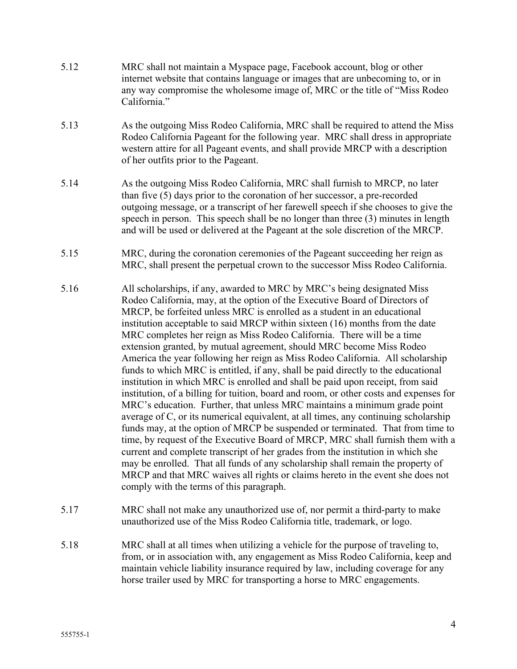- 5.12 MRC shall not maintain a Myspace page, Facebook account, blog or other internet website that contains language or images that are unbecoming to, or in any way compromise the wholesome image of, MRC or the title of "Miss Rodeo California."
- 5.13 As the outgoing Miss Rodeo California, MRC shall be required to attend the Miss Rodeo California Pageant for the following year. MRC shall dress in appropriate western attire for all Pageant events, and shall provide MRCP with a description of her outfits prior to the Pageant.
- 5.14 As the outgoing Miss Rodeo California, MRC shall furnish to MRCP, no later than five (5) days prior to the coronation of her successor, a pre-recorded outgoing message, or a transcript of her farewell speech if she chooses to give the speech in person. This speech shall be no longer than three (3) minutes in length and will be used or delivered at the Pageant at the sole discretion of the MRCP.
- 5.15 MRC, during the coronation ceremonies of the Pageant succeeding her reign as MRC, shall present the perpetual crown to the successor Miss Rodeo California.
- 5.16 All scholarships, if any, awarded to MRC by MRC's being designated Miss Rodeo California, may, at the option of the Executive Board of Directors of MRCP, be forfeited unless MRC is enrolled as a student in an educational institution acceptable to said MRCP within sixteen (16) months from the date MRC completes her reign as Miss Rodeo California. There will be a time extension granted, by mutual agreement, should MRC become Miss Rodeo America the year following her reign as Miss Rodeo California. All scholarship funds to which MRC is entitled, if any, shall be paid directly to the educational institution in which MRC is enrolled and shall be paid upon receipt, from said institution, of a billing for tuition, board and room, or other costs and expenses for MRC's education. Further, that unless MRC maintains a minimum grade point average of C, or its numerical equivalent, at all times, any continuing scholarship funds may, at the option of MRCP be suspended or terminated. That from time to time, by request of the Executive Board of MRCP, MRC shall furnish them with a current and complete transcript of her grades from the institution in which she may be enrolled. That all funds of any scholarship shall remain the property of MRCP and that MRC waives all rights or claims hereto in the event she does not comply with the terms of this paragraph.
- 5.17 MRC shall not make any unauthorized use of, nor permit a third-party to make unauthorized use of the Miss Rodeo California title, trademark, or logo.
- 5.18 MRC shall at all times when utilizing a vehicle for the purpose of traveling to, from, or in association with, any engagement as Miss Rodeo California, keep and maintain vehicle liability insurance required by law, including coverage for any horse trailer used by MRC for transporting a horse to MRC engagements.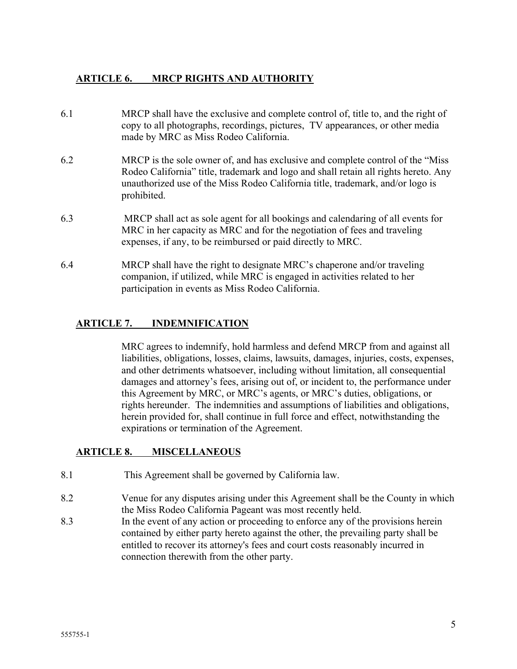### **ARTICLE 6. MRCP RIGHTS AND AUTHORITY**

- 6.1 MRCP shall have the exclusive and complete control of, title to, and the right of copy to all photographs, recordings, pictures, TV appearances, or other media made by MRC as Miss Rodeo California.
- 6.2 MRCP is the sole owner of, and has exclusive and complete control of the "Miss Rodeo California" title, trademark and logo and shall retain all rights hereto. Any unauthorized use of the Miss Rodeo California title, trademark, and/or logo is prohibited.
- 6.3 MRCP shall act as sole agent for all bookings and calendaring of all events for MRC in her capacity as MRC and for the negotiation of fees and traveling expenses, if any, to be reimbursed or paid directly to MRC.
- 6.4 MRCP shall have the right to designate MRC's chaperone and/or traveling companion, if utilized, while MRC is engaged in activities related to her participation in events as Miss Rodeo California.

### **ARTICLE 7. INDEMNIFICATION**

MRC agrees to indemnify, hold harmless and defend MRCP from and against all liabilities, obligations, losses, claims, lawsuits, damages, injuries, costs, expenses, and other detriments whatsoever, including without limitation, all consequential damages and attorney's fees, arising out of, or incident to, the performance under this Agreement by MRC, or MRC's agents, or MRC's duties, obligations, or rights hereunder. The indemnities and assumptions of liabilities and obligations, herein provided for, shall continue in full force and effect, notwithstanding the expirations or termination of the Agreement.

### **ARTICLE 8. MISCELLANEOUS**

- 8.1 This Agreement shall be governed by California law.
- 8.2 Venue for any disputes arising under this Agreement shall be the County in which the Miss Rodeo California Pageant was most recently held.
- 8.3 In the event of any action or proceeding to enforce any of the provisions herein contained by either party hereto against the other, the prevailing party shall be entitled to recover its attorney's fees and court costs reasonably incurred in connection therewith from the other party.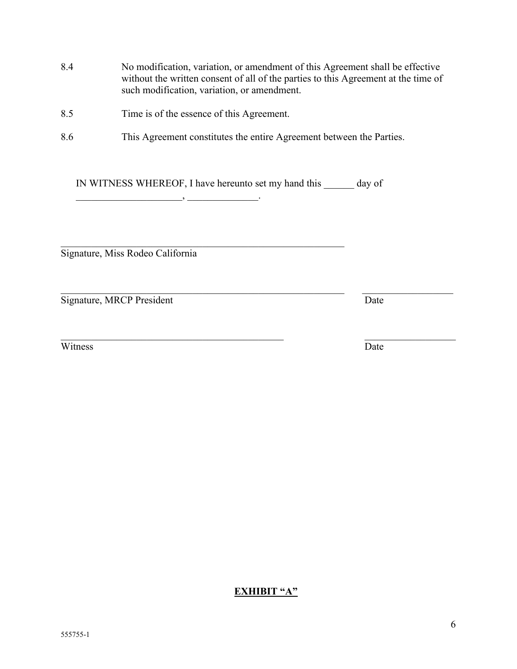- 8.4 No modification, variation, or amendment of this Agreement shall be effective without the written consent of all of the parties to this Agreement at the time of such modification, variation, or amendment.
- 8.5 Time is of the essence of this Agreement.
- 8.6 This Agreement constitutes the entire Agreement between the Parties.

IN WITNESS WHEREOF, I have hereunto set my hand this \_\_\_\_\_\_ day of \_\_\_\_\_\_\_\_\_\_\_\_\_,

 $\mathcal{L}_\text{max}$  , and the contribution of the contribution of the contribution of the contribution of the contribution of the contribution of the contribution of the contribution of the contribution of the contribution of t

Signature, Miss Rodeo California

Signature, MRCP President Date

Witness Date

**EXHIBIT "A"**

 $\mathcal{L}_\text{max}$  , and the contribution of the contribution of the contribution of the contribution of the contribution of the contribution of the contribution of the contribution of the contribution of the contribution of t

 $\mathcal{L}_\text{max}$  , and the contribution of the contribution of the contribution of the contribution of the contribution of the contribution of the contribution of the contribution of the contribution of the contribution of t

6